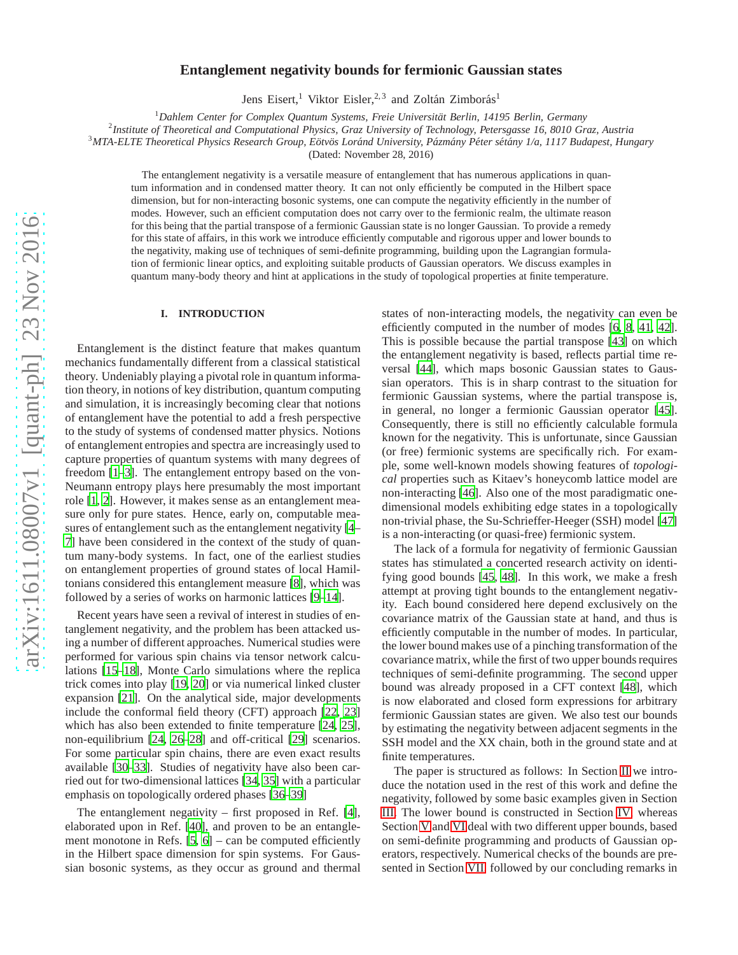# **Entanglement negativity bounds for fermionic Gaussian states**

Jens Eisert,<sup>1</sup> Viktor Eisler,<sup>2,3</sup> and Zoltán Zimborás<sup>1</sup>

<sup>1</sup>Dahlem Center for Complex Quantum Systems, Freie Universität Berlin, 14195 Berlin, Germany

2 *Institute of Theoretical and Computational Physics, Graz University of Technology, Petersgasse 16, 8010 Graz, Austria*

<sup>3</sup> MTA-ELTE Theoretical Physics Research Group, Eötvös Loránd University, Pázmány Péter sétány 1/a, 1117 Budapest, Hungary

(Dated: November 28, 2016)

The entanglement negativity is a versatile measure of entanglement that has numerous applications in quantum information and in condensed matter theory. It can not only efficiently be computed in the Hilbert space dimension, but for non-interacting bosonic systems, one can compute the negativity efficiently in the number of modes. However, such an efficient computation does not carry over to the fermionic realm, the ultimate reason for this being that the partial transpose of a fermionic Gaussian state is no longer Gaussian. To provide a remedy for this state of affairs, in this work we introduce efficiently computable and rigorous upper and lower bounds to the negativity, making use of techniques of semi-definite programming, building upon the Lagrangian formulation of fermionic linear optics, and exploiting suitable products of Gaussian operators. We discuss examples in quantum many-body theory and hint at applications in the study of topological properties at finite temperature.

#### **I. INTRODUCTION**

Entanglement is the distinct feature that makes quantum mechanics fundamentally different from a classical statistical theory. Undeniably playing a pivotal role in quantum information theory, in notions of key distribution, quantum computing and simulation, it is increasingly becoming clear that notions of entanglement have the potential to add a fresh perspective to the study of systems of condensed matter physics. Notions of entanglement entropies and spectra are increasingly used to capture properties of quantum systems with many degrees of freedom [\[1](#page-11-0)[–3\]](#page-11-1). The entanglement entropy based on the von-Neumann entropy plays here presumably the most important role [\[1](#page-11-0), [2](#page-11-2)]. However, it makes sense as an entanglement measure only for pure states. Hence, early on, computable measures of entanglement such as the entanglement negativity [\[4](#page-11-3)– [7](#page-11-4)] have been considered in the context of the study of quantum many-body systems. In fact, one of the earliest studies on entanglement properties of ground states of local Hamiltonians considered this entanglement measure [\[8\]](#page-11-5), which was followed by a series of works on harmonic lattices [\[9](#page-11-6)[–14](#page-11-7)].

Recent years have seen a revival of interest in studies of entanglement negativity, and the problem has been attacked using a number of different approaches. Numerical studies were performed for various spin chains via tensor network calculations [\[15](#page-12-0)[–18\]](#page-12-1), Monte Carlo simulations where the replica trick comes into play [\[19,](#page-12-2) [20](#page-12-3)] or via numerical linked cluster expansion [\[21\]](#page-12-4). On the analytical side, major developments include the conformal field theory (CFT) approach [\[22,](#page-12-5) [23\]](#page-12-6) which has also been extended to finite temperature [\[24,](#page-12-7) [25](#page-12-8)], non-equilibrium [\[24,](#page-12-7) [26](#page-12-9)[–28](#page-12-10)] and off-critical [\[29](#page-12-11)] scenarios. For some particular spin chains, there are even exact results available [\[30](#page-12-12)[–33](#page-12-13)]. Studies of negativity have also been carried out for two-dimensional lattices [\[34,](#page-12-14) [35\]](#page-12-15) with a particular emphasis on topologically ordered phases [\[36](#page-12-16)[–39\]](#page-12-17)

The entanglement negativity – first proposed in Ref. [\[4](#page-11-3)], elaborated upon in Ref. [\[40](#page-12-18)], and proven to be an entanglement monotone in Refs. [\[5,](#page-11-8) [6](#page-11-9)] – can be computed efficiently in the Hilbert space dimension for spin systems. For Gaussian bosonic systems, as they occur as ground and thermal states of non-interacting models, the negativity can even be efficiently computed in the number of modes [\[6,](#page-11-9) [8,](#page-11-5) [41](#page-12-19), [42](#page-12-20)]. This is possible because the partial transpose [\[43\]](#page-12-21) on which the entanglement negativity is based, reflects partial time reversal [\[44\]](#page-12-22), which maps bosonic Gaussian states to Gaussian operators. This is in sharp contrast to the situation for fermionic Gaussian systems, where the partial transpose is, in general, no longer a fermionic Gaussian operator [\[45](#page-12-23)]. Consequently, there is still no efficiently calculable formula known for the negativity. This is unfortunate, since Gaussian (or free) fermionic systems are specifically rich. For example, some well-known models showing features of *topological* properties such as Kitaev's honeycomb lattice model are non-interacting [\[46\]](#page-12-24). Also one of the most paradigmatic onedimensional models exhibiting edge states in a topologically non-trivial phase, the Su-Schrieffer-Heeger (SSH) model [\[47\]](#page-12-25) is a non-interacting (or quasi-free) fermionic system.

The lack of a formula for negativity of fermionic Gaussian states has stimulated a concerted research activity on identifying good bounds [\[45,](#page-12-23) [48](#page-12-26)]. In this work, we make a fresh attempt at proving tight bounds to the entanglement negativity. Each bound considered here depend exclusively on the covariance matrix of the Gaussian state at hand, and thus is efficiently computable in the number of modes. In particular, the lower bound makes use of a pinching transformation of the covariance matrix, while the first of two upper bounds requires techniques of semi-definite programming. The second upper bound was already proposed in a CFT context [\[48\]](#page-12-26), which is now elaborated and closed form expressions for arbitrary fermionic Gaussian states are given. We also test our bounds by estimating the negativity between adjacent segments in the SSH model and the XX chain, both in the ground state and at finite temperatures.

The paper is structured as follows: In Section [II](#page-1-0) we introduce the notation used in the rest of this work and define the negativity, followed by some basic examples given in Section [III.](#page-2-0) The lower bound is constructed in Section [IV,](#page-3-0) whereas Section [V](#page-4-0) and [VI](#page-6-0) deal with two different upper bounds, based on semi-definite programming and products of Gaussian operators, respectively. Numerical checks of the bounds are presented in Section [VII,](#page-8-0) followed by our concluding remarks in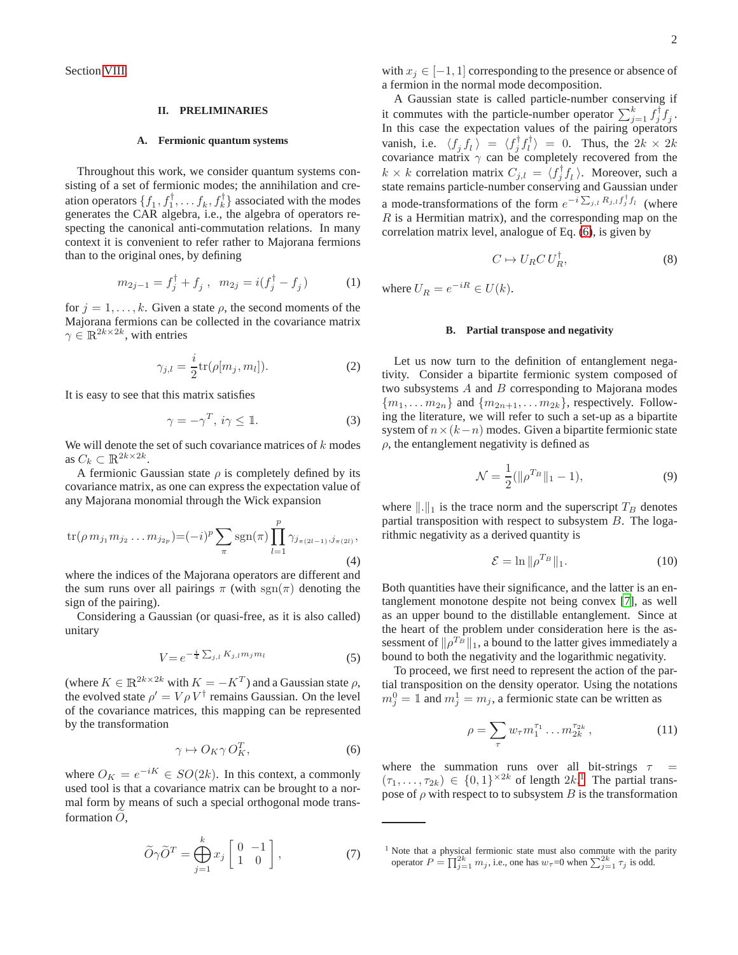Section [VIII.](#page-11-10)

## <span id="page-1-0"></span>**II. PRELIMINARIES**

#### **A. Fermionic quantum systems**

Throughout this work, we consider quantum systems consisting of a set of fermionic modes; the annihilation and creation operators  $\{f_1, f_1^{\dagger}, \dots, f_k, f_k^{\dagger}\}\$  associated with the modes generates the CAR algebra, i.e., the algebra of operators respecting the canonical anti-commutation relations. In many context it is convenient to refer rather to Majorana fermions than to the original ones, by defining

$$
m_{2j-1} = f_j^{\dagger} + f_j \ , \ m_{2j} = i(f_j^{\dagger} - f_j) \tag{1}
$$

for  $j = 1, \ldots, k$ . Given a state  $\rho$ , the second moments of the Majorana fermions can be collected in the covariance matrix  $\gamma \in \mathbb{R}^{2k \times 2k}$ , with entries

$$
\gamma_{j,l} = \frac{i}{2} \text{tr}(\rho[m_j, m_l]). \tag{2}
$$

It is easy to see that this matrix satisfies

$$
\gamma = -\gamma^T, \, i\gamma \leq \mathbb{1}.\tag{3}
$$

We will denote the set of such covariance matrices of  $k$  modes as  $C_k \subset \mathbb{R}^{2k \times 2k}$ .

A fermionic Gaussian state  $\rho$  is completely defined by its covariance matrix, as one can express the expectation value of any Majorana monomial through the Wick expansion

$$
\text{tr}(\rho \, m_{j_1} m_{j_2} \dots m_{j_{2p}}) = (-i)^p \sum_{\pi} \text{sgn}(\pi) \prod_{l=1}^p \gamma_{j_{\pi(2l-1)}, j_{\pi(2l)}},
$$
\n(4)

where the indices of the Majorana operators are different and the sum runs over all pairings  $\pi$  (with sgn( $\pi$ ) denoting the sign of the pairing).

Considering a Gaussian (or quasi-free, as it is also called) unitary

$$
V = e^{-\frac{i}{4} \sum_{j,l} K_{j,l} m_j m_l}
$$
 (5)

(where  $K \in \mathbb{R}^{2k \times 2k}$  with  $K = -K^T$ ) and a Gaussian state  $\rho$ , the evolved state  $\rho' = V \rho V^{\dagger}$  remains Gaussian. On the level of the covariance matrices, this mapping can be represented by the transformation

<span id="page-1-1"></span>
$$
\gamma \mapsto O_K \gamma O_K^T,\tag{6}
$$

where  $O_K = e^{-iK} \in SO(2k)$ . In this context, a commonly used tool is that a covariance matrix can be brought to a normal form by means of such a special orthogonal mode transformation  $O$ ,

$$
\widetilde{O}\gamma\widetilde{O}^T = \bigoplus_{j=1}^k x_j \begin{bmatrix} 0 & -1 \\ 1 & 0 \end{bmatrix},\tag{7}
$$

with  $x_j \in [-1, 1]$  corresponding to the presence or absence of a fermion in the normal mode decomposition.

A Gaussian state is called particle-number conserving if it commutes with the particle-number operator  $\sum_{j=1}^{k} f_j^{\dagger} f_j$ . In this case the expectation values of the pairing operators vanish, i.e.  $\langle f_j f_l \rangle = \langle f_j^{\dagger} f_l^{\dagger} \rangle = 0$ . Thus, the  $2k \times 2k$ covariance matrix  $\gamma$  can be completely recovered from the  $k \times k$  correlation matrix  $C_{j,l} = \langle f_j^{\dagger} f_l \rangle$ . Moreover, such a state remains particle-number conserving and Gaussian under a mode-transformations of the form  $e^{-i\sum_{j,l}R_{j,l}f_j^{\dagger}f_l}$  (where  $R$  is a Hermitian matrix), and the corresponding map on the correlation matrix level, analogue of Eq. [\(6\)](#page-1-1), is given by

$$
C \mapsto U_R C U_R^{\dagger}, \tag{8}
$$

where  $U_R = e^{-iR} \in U(k)$ .

#### **B. Partial transpose and negativity**

Let us now turn to the definition of entanglement negativity. Consider a bipartite fermionic system composed of two subsystems  $A$  and  $B$  corresponding to Majorana modes  ${m_1, \ldots m_{2n}}$  and  ${m_{2n+1}, \ldots m_{2k}}$ , respectively. Following the literature, we will refer to such a set-up as a bipartite system of  $n \times (k-n)$  modes. Given a bipartite fermionic state  $\rho$ , the entanglement negativity is defined as

$$
\mathcal{N} = \frac{1}{2} (\|\rho^{T_B}\|_1 - 1),\tag{9}
$$

where  $\Vert . \Vert_1$  is the trace norm and the superscript  $T_B$  denotes partial transposition with respect to subsystem B. The logarithmic negativity as a derived quantity is

$$
\mathcal{E} = \ln \|\rho^{T_B}\|_1. \tag{10}
$$

Both quantities have their significance, and the latter is an entanglement monotone despite not being convex [\[7](#page-11-4)], as well as an upper bound to the distillable entanglement. Since at the heart of the problem under consideration here is the assessment of  $\|\rho^{T_B}\|_1$ , a bound to the latter gives immediately a bound to both the negativity and the logarithmic negativity.

To proceed, we first need to represent the action of the partial transposition on the density operator. Using the notations  $m_j^0 = \mathbb{1}$  and  $m_j^1 = m_j$ , a fermionic state can be written as

$$
\rho = \sum_{\tau} w_{\tau} m_1^{\tau_1} \dots m_{2k}^{\tau_{2k}}, \qquad (11)
$$

where the summation runs over all bit-strings  $\tau$  =  $(\tau_1, \ldots, \tau_{2k}) \in \{0,1\}^{\times 2k}$  $(\tau_1, \ldots, \tau_{2k}) \in \{0,1\}^{\times 2k}$  $(\tau_1, \ldots, \tau_{2k}) \in \{0,1\}^{\times 2k}$  of length  $2k$ <sup>1</sup>. The partial transpose of  $\rho$  with respect to to subsystem B is the transformation

<span id="page-1-2"></span><sup>&</sup>lt;sup>1</sup> Note that a physical fermionic state must also commute with the parity operator  $P = \prod_{j=1}^{N} m_j$ , i.e., one has  $w_{\tau} = 0$  when  $\sum_{j=1}^{2k} \tau_j$  is odd.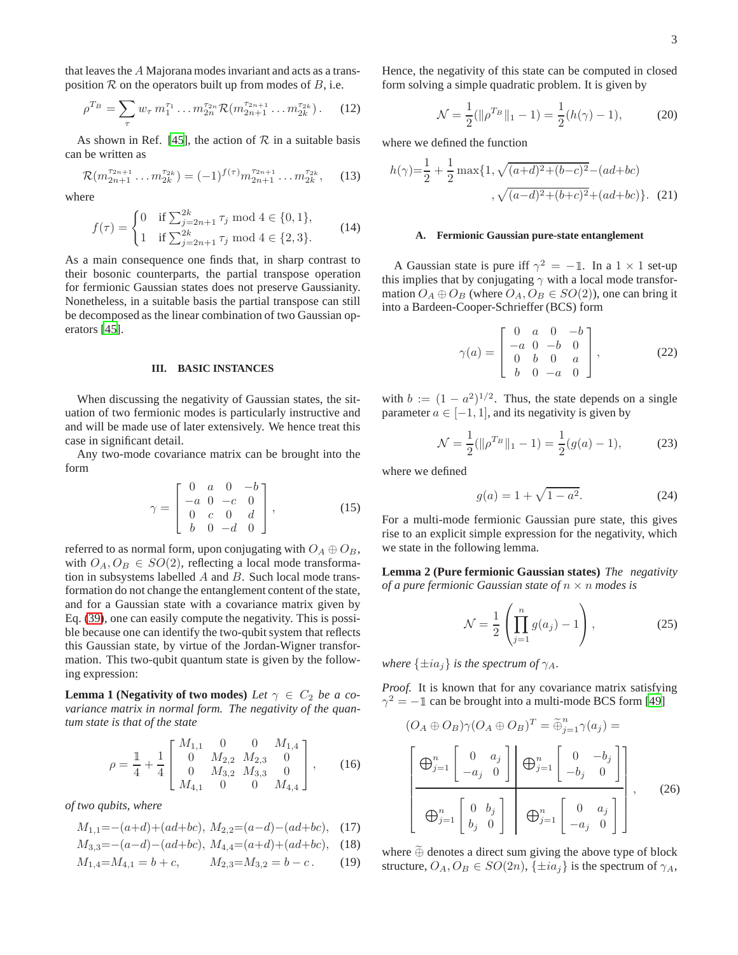that leaves the A Majorana modes invariant and acts as a transposition  $R$  on the operators built up from modes of  $B$ , i.e.

$$
\rho^{T_B} = \sum_{\tau} w_{\tau} m_1^{\tau_1} \dots m_{2n}^{\tau_{2n}} \mathcal{R}(m_{2n+1}^{\tau_{2n+1}} \dots m_{2k}^{\tau_{2k}}). \tag{12}
$$

As shown in Ref. [\[45\]](#page-12-23), the action of  $R$  in a suitable basis can be written as

$$
\mathcal{R}(m_{2n+1}^{\tau_{2n+1}}\dots m_{2k}^{\tau_{2k}}) = (-1)^{f(\tau)} m_{2n+1}^{\tau_{2n+1}}\dots m_{2k}^{\tau_{2k}},\qquad(13)
$$

where

$$
f(\tau) = \begin{cases} 0 & \text{if } \sum_{j=2n+1}^{2k} \tau_j \text{ mod } 4 \in \{0, 1\}, \\ 1 & \text{if } \sum_{j=2n+1}^{2k} \tau_j \text{ mod } 4 \in \{2, 3\}. \end{cases}
$$
(14)

As a main consequence one finds that, in sharp contrast to their bosonic counterparts, the partial transpose operation for fermionic Gaussian states does not preserve Gaussianity. Nonetheless, in a suitable basis the partial transpose can still be decomposed as the linear combination of two Gaussian operators [\[45\]](#page-12-23).

#### <span id="page-2-0"></span>**III. BASIC INSTANCES**

When discussing the negativity of Gaussian states, the situation of two fermionic modes is particularly instructive and and will be made use of later extensively. We hence treat this case in significant detail.

Any two-mode covariance matrix can be brought into the form

$$
\gamma = \begin{bmatrix} 0 & a & 0 & -b \\ -a & 0 & -c & 0 \\ 0 & c & 0 & d \\ b & 0 & -d & 0 \end{bmatrix},
$$
(15)

referred to as normal form, upon conjugating with  $O_A \oplus O_B$ , with  $O_A, O_B \in SO(2)$ , reflecting a local mode transformation in subsystems labelled  $A$  and  $B$ . Such local mode transformation do not change the entanglement content of the state, and for a Gaussian state with a covariance matrix given by Eq. [\(39\)](#page-4-1), one can easily compute the negativity. This is possible because one can identify the two-qubit system that reflects this Gaussian state, by virtue of the Jordan-Wigner transformation. This two-qubit quantum state is given by the following expression:

**Lemma 1 (Negativity of two modes)** *Let*  $\gamma \in C_2$  *be a covariance matrix in normal form. The negativity of the quantum state is that of the state*

$$
\rho = \frac{1}{4} + \frac{1}{4} \begin{bmatrix} M_{1,1} & 0 & 0 & M_{1,4} \\ 0 & M_{2,2} & M_{2,3} & 0 \\ 0 & M_{3,2} & M_{3,3} & 0 \\ M_{4,1} & 0 & 0 & M_{4,4} \end{bmatrix}, \quad (16)
$$

*of two qubits, where*

$$
M_{1,1} = -(a+d) + (ad+bc), M_{2,2} = (a-d) - (ad+bc), \quad (17)
$$

$$
M_{3,3} = -(a-d) - (ad+bc), M_{4,4} = (a+d) + (ad+bc), \quad (18)
$$

$$
M_{1,4} = M_{4,1} = b + c, \qquad M_{2,3} = M_{3,2} = b - c. \qquad (19)
$$

Hence, the negativity of this state can be computed in closed form solving a simple quadratic problem. It is given by

<span id="page-2-5"></span><span id="page-2-4"></span>
$$
\mathcal{N} = \frac{1}{2}(\|\rho^{T_B}\|_1 - 1) = \frac{1}{2}(h(\gamma) - 1),\tag{20}
$$

where we defined the function

$$
h(\gamma) = \frac{1}{2} + \frac{1}{2} \max\{1, \sqrt{(a+d)^2 + (b-c)^2} - (ad+bc) \},\ \sqrt{(a-d)^2 + (b+c)^2} + (ad+bc)\}.
$$
 (21)

#### **A. Fermionic Gaussian pure-state entanglement**

A Gaussian state is pure iff  $\gamma^2 = -1$ . In a  $1 \times 1$  set-up this implies that by conjugating  $\gamma$  with a local mode transformation  $O_A \oplus O_B$  (where  $O_A$ ,  $O_B \in SO(2)$ ), one can bring it into a Bardeen-Cooper-Schrieffer (BCS) form

$$
\gamma(a) = \begin{bmatrix} 0 & a & 0 & -b \\ -a & 0 & -b & 0 \\ 0 & b & 0 & a \\ b & 0 & -a & 0 \end{bmatrix},
$$
(22)

with  $b := (1 - a^2)^{1/2}$ . Thus, the state depends on a single parameter  $a \in [-1, 1]$ , and its negativity is given by

<span id="page-2-1"></span>
$$
\mathcal{N} = \frac{1}{2}(\|\rho^{T_B}\|_1 - 1) = \frac{1}{2}(g(a) - 1),\tag{23}
$$

where we defined

<span id="page-2-2"></span>
$$
g(a) = 1 + \sqrt{1 - a^2}.
$$
 (24)

For a multi-mode fermionic Gaussian pure state, this gives rise to an explicit simple expression for the negativity, which we state in the following lemma.

**Lemma 2 (Pure fermionic Gaussian states)** *The negativity of a pure fermionic Gaussian state of* n × n *modes is*

<span id="page-2-3"></span>
$$
\mathcal{N} = \frac{1}{2} \left( \prod_{j=1}^{n} g(a_j) - 1 \right), \tag{25}
$$

*where*  $\{\pm ia_j\}$  *is the spectrum of*  $\gamma_A$ *.* 

*Proof.* It is known that for any covariance matrix satisfying  $\gamma^2 = -1$  can be brought into a multi-mode BCS form [\[49\]](#page-12-27)

$$
(O_A \oplus O_B)\gamma(O_A \oplus O_B)^T = \widetilde{\oplus}_{j=1}^n \gamma(a_j) =
$$

$$
\left[\bigoplus_{j=1}^n \begin{bmatrix} 0 & a_j \\ -a_j & 0 \end{bmatrix} \middle| \bigoplus_{j=1}^n \begin{bmatrix} 0 & -b_j \\ -b_j & 0 \end{bmatrix} \right],
$$

$$
\bigoplus_{j=1}^n \begin{bmatrix} 0 & b_j \\ b_j & 0 \end{bmatrix} \bigoplus_{j=1}^n \begin{bmatrix} 0 & a_j \\ -a_j & 0 \end{bmatrix},
$$
(26)

where  $\widetilde{\oplus}$  denotes a direct sum giving the above type of block structure,  $O_A$ ,  $O_B \in SO(2n)$ ,  $\{\pm ia_j\}$  is the spectrum of  $\gamma_A$ ,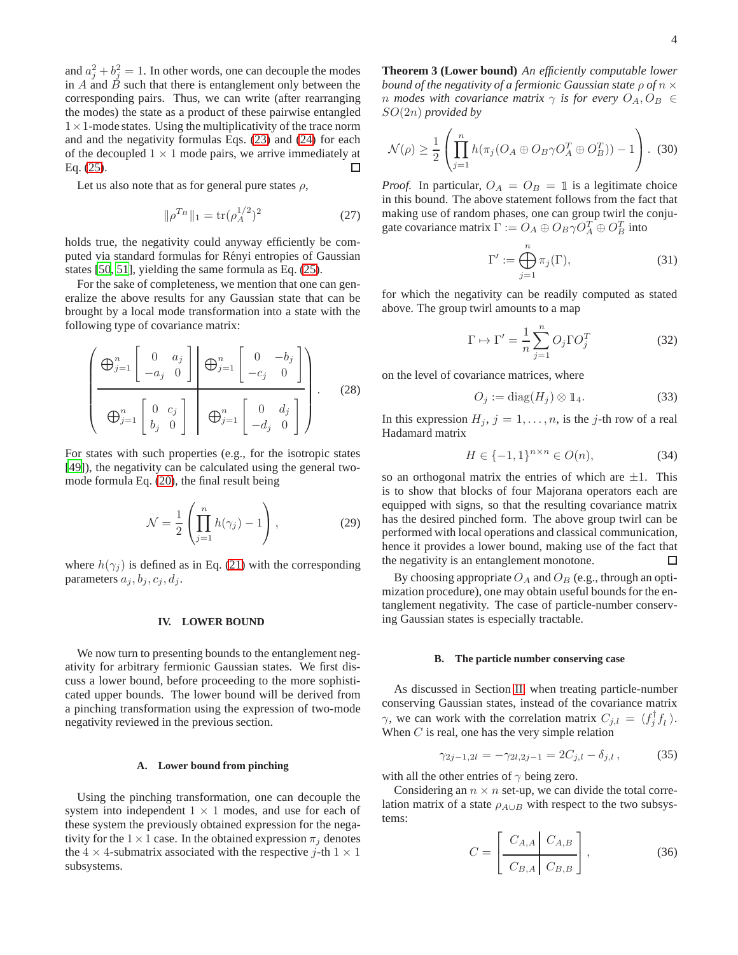and  $a_j^2 + b_j^2 = 1$ . In other words, one can decouple the modes in  $\overrightarrow{A}$  and  $\overrightarrow{B}$  such that there is entanglement only between the corresponding pairs. Thus, we can write (after rearranging the modes) the state as a product of these pairwise entangled  $1 \times 1$ -mode states. Using the multiplicativity of the trace norm and and the negativity formulas Eqs. [\(23\)](#page-2-1) and [\(24\)](#page-2-2) for each of the decoupled  $1 \times 1$  mode pairs, we arrive immediately at Eq. (25). Eq. [\(25\)](#page-2-3).

Let us also note that as for general pure states  $\rho$ ,

$$
\|\rho^{T_B}\|_1 = \text{tr}(\rho_A^{1/2})^2 \tag{27}
$$

holds true, the negativity could anyway efficiently be computed via standard formulas for Rényi entropies of Gaussian states [\[50,](#page-12-28) [51\]](#page-12-29), yielding the same formula as Eq. [\(25\)](#page-2-3).

For the sake of completeness, we mention that one can generalize the above results for any Gaussian state that can be brought by a local mode transformation into a state with the following type of covariance matrix:

$$
\left(\begin{array}{c}\n\bigoplus_{j=1}^{n} \begin{bmatrix}\n0 & a_j \\
-a_j & 0\n\end{bmatrix}\n\end{array}\right) \bigoplus_{j=1}^{n} \begin{bmatrix}\n0 & -b_j \\
-c_j & 0\n\end{bmatrix}
$$
\n
$$
\bigoplus_{j=1}^{n} \begin{bmatrix}\n0 & c_j \\
b_j & 0\n\end{bmatrix} \bigoplus_{j=1}^{n} \begin{bmatrix}\n0 & d_j \\
-d_j & 0\n\end{bmatrix}.
$$
\n(28)

For states with such properties (e.g., for the isotropic states [\[49](#page-12-27)]), the negativity can be calculated using the general twomode formula Eq. [\(20\)](#page-2-4), the final result being

$$
\mathcal{N} = \frac{1}{2} \left( \prod_{j=1}^{n} h(\gamma_j) - 1 \right), \tag{29}
$$

where  $h(\gamma_i)$  is defined as in Eq. [\(21\)](#page-2-5) with the corresponding parameters  $a_j, b_j, c_j, d_j$ .

## <span id="page-3-0"></span>**IV. LOWER BOUND**

We now turn to presenting bounds to the entanglement negativity for arbitrary fermionic Gaussian states. We first discuss a lower bound, before proceeding to the more sophisticated upper bounds. The lower bound will be derived from a pinching transformation using the expression of two-mode negativity reviewed in the previous section.

#### **A. Lower bound from pinching**

<span id="page-3-1"></span>Using the pinching transformation, one can decouple the system into independent  $1 \times 1$  modes, and use for each of these system the previously obtained expression for the negativity for the  $1 \times 1$  case. In the obtained expression  $\pi_i$  denotes the  $4 \times 4$ -submatrix associated with the respective j-th  $1 \times 1$ subsystems.

**Theorem 3 (Lower bound)** *An efficiently computable lower bound of the negativity of a fermionic Gaussian state* ρ *of* n × *n* modes with covariance matrix  $\gamma$  *is for every*  $O_A$ ,  $O_B \in$ SO(2n) *provided by*

$$
\mathcal{N}(\rho) \ge \frac{1}{2} \left( \prod_{j=1}^n h(\pi_j(O_A \oplus O_B \gamma O_A^T \oplus O_B^T)) - 1 \right). \tag{30}
$$

*Proof.* In particular,  $O_A = O_B = 1$  is a legitimate choice in this bound. The above statement follows from the fact that making use of random phases, one can group twirl the conjugate covariance matrix  $\Gamma := O_A \oplus O_B \gamma O_A^T \oplus O_B^T$  into

$$
\Gamma' := \bigoplus_{j=1}^{n} \pi_j(\Gamma),\tag{31}
$$

for which the negativity can be readily computed as stated above. The group twirl amounts to a map

$$
\Gamma \mapsto \Gamma' = \frac{1}{n} \sum_{j=1}^{n} O_j \Gamma O_j^T \tag{32}
$$

on the level of covariance matrices, where

$$
O_j := \text{diag}(H_j) \otimes \mathbb{1}_4. \tag{33}
$$

In this expression  $H_j$ ,  $j = 1, \ldots, n$ , is the j-th row of a real Hadamard matrix

$$
H \in \{-1, 1\}^{n \times n} \in O(n),\tag{34}
$$

so an orthogonal matrix the entries of which are  $\pm 1$ . This is to show that blocks of four Majorana operators each are equipped with signs, so that the resulting covariance matrix has the desired pinched form. The above group twirl can be performed with local operations and classical communication, hence it provides a lower bound, making use of the fact that the negativity is an entanglement monotone. □

By choosing appropriate  $O_A$  and  $O_B$  (e.g., through an optimization procedure), one may obtain useful bounds for the entanglement negativity. The case of particle-number conserving Gaussian states is especially tractable.

#### **B. The particle number conserving case**

As discussed in Section [II,](#page-1-0) when treating particle-number conserving Gaussian states, instead of the covariance matrix  $\gamma$ , we can work with the correlation matrix  $C_{j,l} = \langle f_j^{\dagger} f_l \rangle$ . When  $C$  is real, one has the very simple relation

$$
\gamma_{2j-1,2l} = -\gamma_{2l,2j-1} = 2C_{j,l} - \delta_{j,l}, \qquad (35)
$$

with all the other entries of  $\gamma$  being zero.

Considering an  $n \times n$  set-up, we can divide the total correlation matrix of a state  $\rho_{A\cup B}$  with respect to the two subsystems:

$$
C = \left[ \frac{C_{A,A} \mid C_{A,B}}{C_{B,A} \mid C_{B,B}} \right],
$$
 (36)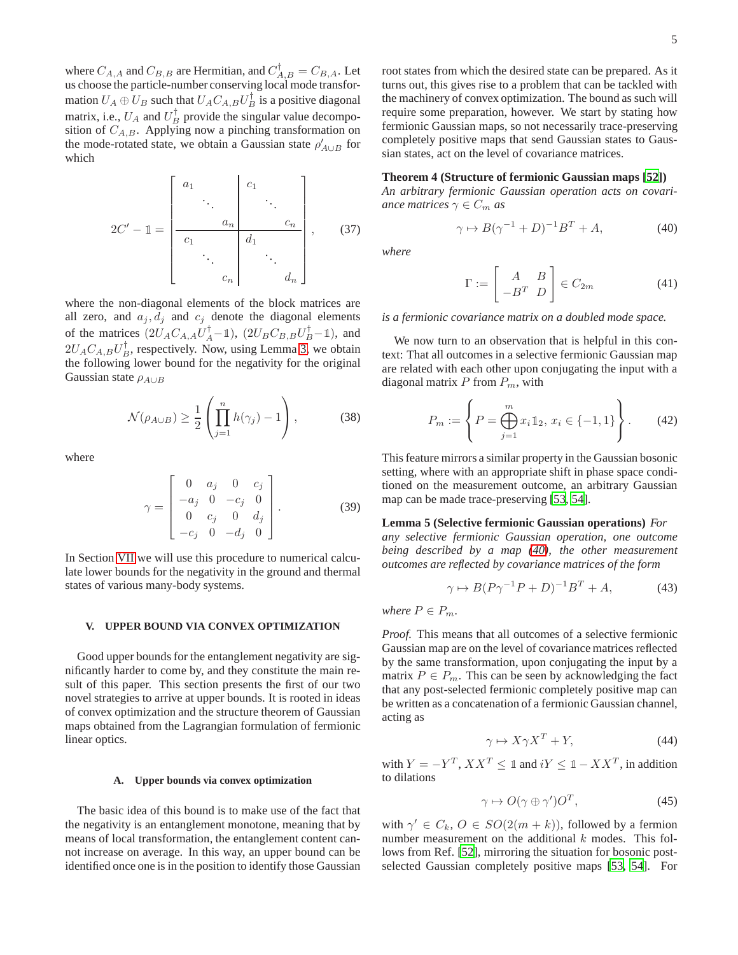where  $C_{A,A}$  and  $C_{B,B}$  are Hermitian, and  $C_{A,B}^{\dagger} = C_{B,A}$ . Let us choose the particle-number conserving local mode transformation  $U_A \oplus U_B$  such that  $U_A C_{A,B} U_B^{\dagger}$  is a positive diagonal matrix, i.e.,  $U_A$  and  $U_B^{\dagger}$  provide the singular value decomposition of  $C_{A,B}$ . Applying now a pinching transformation on the mode-rotated state, we obtain a Gaussian state  $\rho'_{A\cup B}$  for which

$$
2C' - 1 = \begin{bmatrix} a_1 & & & c_1 & & \\ & \ddots & & & \ddots & \\ & & a_n & & c_n & \\ & & & a_1 & & \\ & & & & \ddots & \\ & & & & & a_n \end{bmatrix}, \qquad (37)
$$

where the non-diagonal elements of the block matrices are all zero, and  $a_j, d_j$  and  $c_j$  denote the diagonal elements of the matrices  $(2U_A C_{A,A} U_A^{\dagger} - \mathbb{1}), (2U_B C_{B,B} U_B^{\dagger} - \mathbb{1}),$  and  $2U_A C_{A,B} U_B^{\dagger}$ , respectively. Now, using Lemma [3,](#page-3-1) we obtain the following lower bound for the negativity for the original Gaussian state  $\rho_{A\cup B}$ 

$$
\mathcal{N}(\rho_{A\cup B}) \ge \frac{1}{2} \left( \prod_{j=1}^{n} h(\gamma_j) - 1 \right), \tag{38}
$$

where

<span id="page-4-1"></span>
$$
\gamma = \begin{bmatrix} 0 & a_j & 0 & c_j \\ -a_j & 0 & -c_j & 0 \\ 0 & c_j & 0 & d_j \\ -c_j & 0 & -d_j & 0 \end{bmatrix}.
$$
 (39)

In Section [VII](#page-8-0) we will use this procedure to numerical calculate lower bounds for the negativity in the ground and thermal states of various many-body systems.

## <span id="page-4-0"></span>**V. UPPER BOUND VIA CONVEX OPTIMIZATION**

Good upper bounds for the entanglement negativity are significantly harder to come by, and they constitute the main result of this paper. This section presents the first of our two novel strategies to arrive at upper bounds. It is rooted in ideas of convex optimization and the structure theorem of Gaussian maps obtained from the Lagrangian formulation of fermionic linear optics.

#### **A. Upper bounds via convex optimization**

The basic idea of this bound is to make use of the fact that the negativity is an entanglement monotone, meaning that by means of local transformation, the entanglement content cannot increase on average. In this way, an upper bound can be identified once one is in the position to identify those Gaussian

root states from which the desired state can be prepared. As it turns out, this gives rise to a problem that can be tackled with the machinery of convex optimization. The bound as such will require some preparation, however. We start by stating how fermionic Gaussian maps, so not necessarily trace-preserving completely positive maps that send Gaussian states to Gaussian states, act on the level of covariance matrices.

# **Theorem 4 (Structure of fermionic Gaussian maps [\[52\]](#page-12-30))**

*An arbitrary fermionic Gaussian operation acts on covariance matrices*  $\gamma \in C_m$  *as* 

<span id="page-4-2"></span>
$$
\gamma \mapsto B(\gamma^{-1} + D)^{-1}B^T + A,\tag{40}
$$

*where*

<span id="page-4-3"></span>
$$
\Gamma := \begin{bmatrix} A & B \\ -B^T & D \end{bmatrix} \in C_{2m} \tag{41}
$$

*is a fermionic covariance matrix on a doubled mode space.*

We now turn to an observation that is helpful in this context: That all outcomes in a selective fermionic Gaussian map are related with each other upon conjugating the input with a diagonal matrix  $P$  from  $P_m$ , with

$$
P_m := \left\{ P = \bigoplus_{j=1}^m x_i 1 \mathbb{1}_2, x_i \in \{-1, 1\} \right\}.
$$
 (42)

This feature mirrors a similar property in the Gaussian bosonic setting, where with an appropriate shift in phase space conditioned on the measurement outcome, an arbitrary Gaussian map can be made trace-preserving [\[53,](#page-12-31) [54\]](#page-12-32).

## **Lemma 5 (Selective fermionic Gaussian operations)** *For*

*any selective fermionic Gaussian operation, one outcome being described by a map [\(40\)](#page-4-2), the other measurement outcomes are reflected by covariance matrices of the form*

$$
\gamma \mapsto B(P\gamma^{-1}P + D)^{-1}B^T + A,\tag{43}
$$

*where*  $P \in P_m$ *.* 

*Proof.* This means that all outcomes of a selective fermionic Gaussian map are on the level of covariance matrices reflected by the same transformation, upon conjugating the input by a matrix  $P \in P_m$ . This can be seen by acknowledging the fact that any post-selected fermionic completely positive map can be written as a concatenation of a fermionic Gaussian channel, acting as

$$
\gamma \mapsto X\gamma X^T + Y,\tag{44}
$$

with  $Y = -Y^T$ ,  $XX^T \leq 1$  and  $iY \leq 1 - XX^T$ , in addition to dilations

$$
\gamma \mapsto O(\gamma \oplus \gamma')O^T,\tag{45}
$$

with  $\gamma' \in C_k$ ,  $O \in SO(2(m+k))$ , followed by a fermion number measurement on the additional  $k$  modes. This follows from Ref. [\[52](#page-12-30)], mirroring the situation for bosonic postselected Gaussian completely positive maps [\[53](#page-12-31), [54\]](#page-12-32). For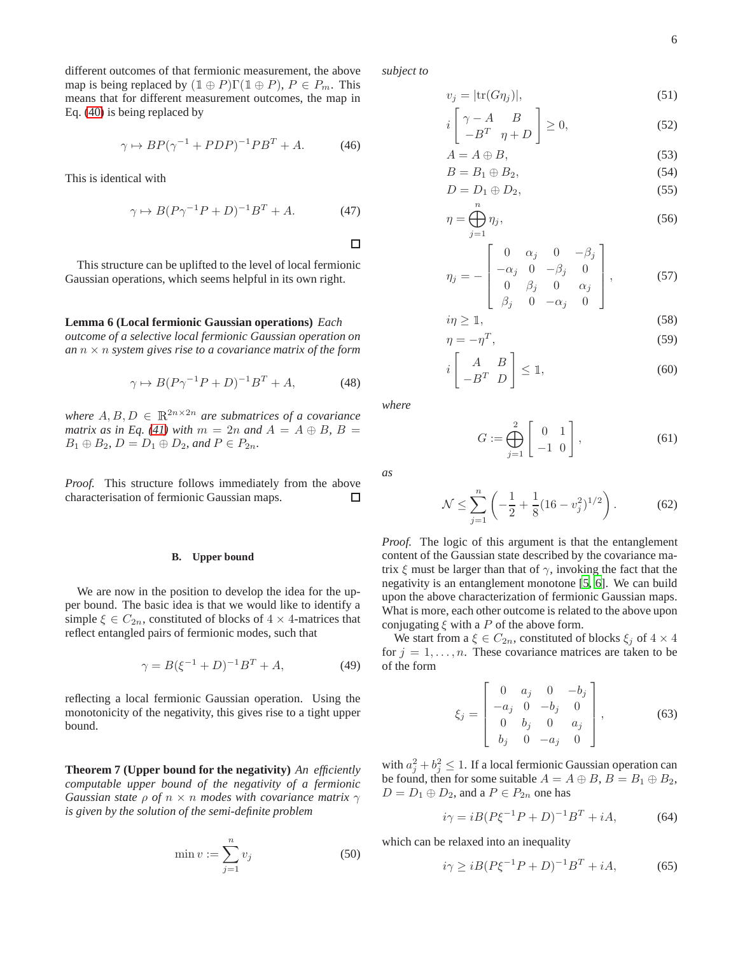different outcomes of that fermionic measurement, the above map is being replaced by  $(1 \oplus P)\Gamma(1 \oplus P)$ ,  $P \in P_m$ . This means that for different measurement outcomes, the map in Eq. [\(40\)](#page-4-2) is being replaced by

$$
\gamma \mapsto BP(\gamma^{-1} + PDP)^{-1}PB^T + A. \tag{46}
$$

This is identical with

$$
\gamma \mapsto B(P\gamma^{-1}P + D)^{-1}B^T + A. \tag{47}
$$

This structure can be uplifted to the level of local fermionic Gaussian operations, which seems helpful in its own right.

# **Lemma 6 (Local fermionic Gaussian operations)** *Each*

*outcome of a selective local fermionic Gaussian operation on an*  $n \times n$  *system gives rise to a covariance matrix of the form* 

$$
\gamma \mapsto B(P\gamma^{-1}P + D)^{-1}B^T + A,\tag{48}
$$

*where*  $A, B, D \in \mathbb{R}^{2n \times 2n}$  *are submatrices of a covariance matrix as in Eq.* [\(41\)](#page-4-3) *with*  $m = 2n$  *and*  $A = A \oplus B$ ,  $B =$  $B_1 \oplus B_2$ ,  $D = D_1 \oplus D_2$ , and  $P \in P_{2n}$ .

*Proof.* This structure follows immediately from the above characterisation of fermionic Gaussian maps. □

# **B. Upper bound**

We are now in the position to develop the idea for the upper bound. The basic idea is that we would like to identify a simple  $\xi \in C_{2n}$ , constituted of blocks of  $4 \times 4$ -matrices that reflect entangled pairs of fermionic modes, such that

$$
\gamma = B(\xi^{-1} + D)^{-1}B^T + A,\tag{49}
$$

reflecting a local fermionic Gaussian operation. Using the monotonicity of the negativity, this gives rise to a tight upper bound.

**Theorem 7 (Upper bound for the negativity)** *An efficiently computable upper bound of the negativity of a fermionic Gaussian state*  $\rho$  *of*  $n \times n$  *modes with covariance matrix*  $\gamma$ *is given by the solution of the semi-definite problem*

$$
\min v := \sum_{j=1}^{n} v_j \tag{50}
$$

*subject to*

 $\gamma$ 

$$
v_j = |\text{tr}(G\eta_j)|,\tag{51}
$$

$$
i\begin{bmatrix} \gamma - A & B \\ -B^T & \eta + D \end{bmatrix} \ge 0, \tag{52}
$$

$$
A = A \oplus B,\tag{53}
$$

$$
B = B_1 \oplus B_2,
$$
  
\n
$$
D = D_1 \oplus D_2,
$$
\n(55)

$$
q = \bigoplus_{j=1}^{n} \eta_j,
$$
\n(56)

$$
\eta_j = -\begin{bmatrix} 0 & \alpha_j & 0 & -\beta_j \\ -\alpha_j & 0 & -\beta_j & 0 \\ 0 & \beta_j & 0 & \alpha_j \\ \beta_i & 0 & -\alpha_i & 0 \end{bmatrix}, \qquad (57)
$$

$$
i\eta \ge 1,
$$
\n
$$
n = -n^T
$$
\n(58)

$$
\eta = -\eta^T,\tag{59}
$$
\n
$$
\left[\begin{array}{cc} A & B \end{array}\right]_{\leq 1} \tag{60}
$$

$$
i \begin{bmatrix} A & B \\ -B^T & D \end{bmatrix} \leq 1, \tag{60}
$$

*where*

 $\Box$ 

*as*

$$
G := \bigoplus_{j=1}^{2} \left[ \begin{array}{cc} 0 & 1 \\ -1 & 0 \end{array} \right],\tag{61}
$$

$$
\mathcal{N} \le \sum_{j=1}^{n} \left( -\frac{1}{2} + \frac{1}{8} (16 - v_j^2)^{1/2} \right). \tag{62}
$$

*Proof.* The logic of this argument is that the entanglement content of the Gaussian state described by the covariance matrix  $\xi$  must be larger than that of  $\gamma$ , invoking the fact that the negativity is an entanglement monotone [\[5,](#page-11-8) [6](#page-11-9)]. We can build upon the above characterization of fermionic Gaussian maps. What is more, each other outcome is related to the above upon conjugating  $\xi$  with a P of the above form.

We start from a  $\xi \in C_{2n}$ , constituted of blocks  $\xi_i$  of  $4 \times 4$ for  $j = 1, \ldots, n$ . These covariance matrices are taken to be of the form

$$
\xi_j = \begin{bmatrix} 0 & a_j & 0 & -b_j \\ -a_j & 0 & -b_j & 0 \\ 0 & b_j & 0 & a_j \\ b_j & 0 & -a_j & 0 \end{bmatrix},
$$
(63)

with  $a_j^2 + b_j^2 \le 1$ . If a local fermionic Gaussian operation can be found, then for some suitable  $A = A \oplus B$ ,  $B = B_1 \oplus B_2$ ,  $D = D_1 \oplus D_2$ , and a  $P \in P_{2n}$  one has

$$
i\gamma = iB(P\xi^{-1}P + D)^{-1}B^T + iA,\tag{64}
$$

which can be relaxed into an inequality

<span id="page-5-0"></span>
$$
i\gamma \ge iB(P\xi^{-1}P + D)^{-1}B^T + iA,\tag{65}
$$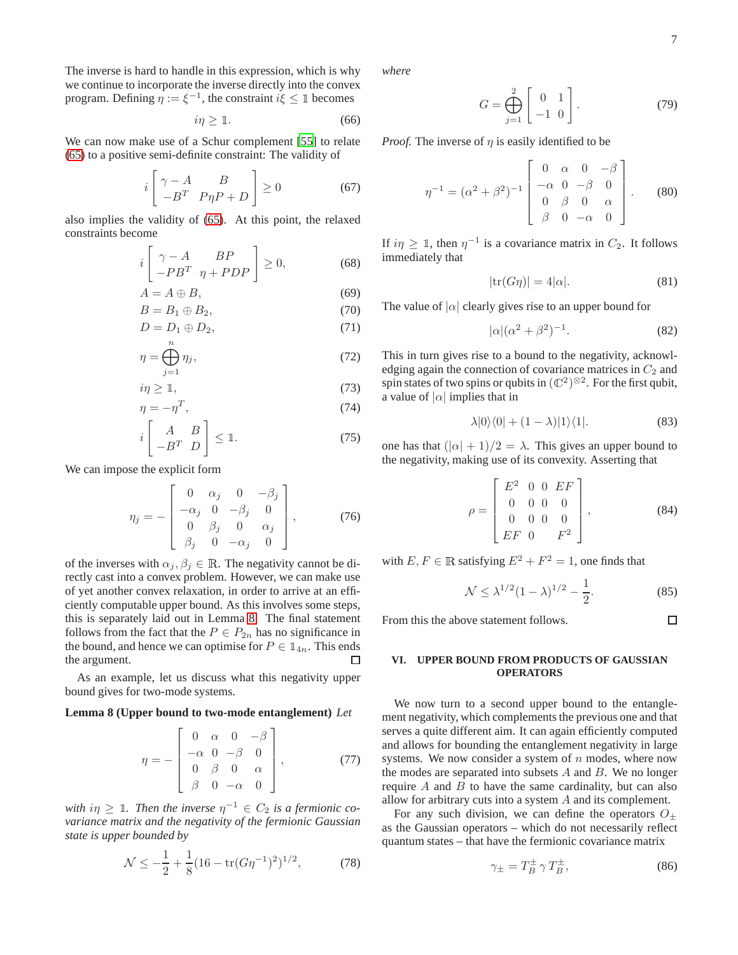The inverse is hard to handle in this expression, which is why we continue to incorporate the inverse directly into the convex program. Defining  $\eta := \xi^{-1}$ , the constraint  $i\xi \leq \mathbb{1}$  becomes

$$
i\eta \ge 1. \tag{66}
$$

We can now make use of a Schur complement [\[55\]](#page-12-33) to relate [\(65\)](#page-5-0) to a positive semi-definite constraint: The validity of

$$
i \begin{bmatrix} \gamma - A & B \\ -B^T & P \eta P + D \end{bmatrix} \ge 0 \tag{67}
$$

also implies the validity of [\(65\)](#page-5-0). At this point, the relaxed constraints become

$$
i\left[\begin{array}{cc} \gamma - A & BP \\ -PB^T & \eta + PDP \end{array}\right] \ge 0, \tag{68}
$$

$$
A = A \oplus B,\tag{69}
$$

$$
B = B_1 \oplus B_2, \tag{70}
$$

$$
D = D_1 \oplus D_2,\tag{71}
$$

$$
\eta = \bigoplus_{j=1}^{n} \eta_j,\tag{72}
$$

$$
i\eta \geq 1,\tag{73}
$$

$$
\eta = -\eta^T,\tag{74}
$$

$$
i \begin{bmatrix} A & B \\ -B^T & D \end{bmatrix} \leq \mathbb{1}.
$$
 (75)

We can impose the explicit form

$$
\eta_j = -\begin{bmatrix} 0 & \alpha_j & 0 & -\beta_j \\ -\alpha_j & 0 & -\beta_j & 0 \\ 0 & \beta_j & 0 & \alpha_j \\ \beta_j & 0 & -\alpha_j & 0 \end{bmatrix}, \qquad (76)
$$

of the inverses with  $\alpha_j, \beta_j \in \mathbb{R}$ . The negativity cannot be directly cast into a convex problem. However, we can make use of yet another convex relaxation, in order to arrive at an efficiently computable upper bound. As this involves some steps, this is separately laid out in Lemma [8.](#page-6-1) The final statement follows from the fact that the  $P \in P_{2n}$  has no significance in the bound, and hence we can optimise for  $P \in \mathbb{1}_{4n}$ . This ends the argument. the argument.

<span id="page-6-1"></span>As an example, let us discuss what this negativity upper bound gives for two-mode systems.

## **Lemma 8 (Upper bound to two-mode entanglement)** *Let*

$$
\eta = -\begin{bmatrix} 0 & \alpha & 0 & -\beta \\ -\alpha & 0 & -\beta & 0 \\ 0 & \beta & 0 & \alpha \\ \beta & 0 & -\alpha & 0 \end{bmatrix},
$$
(77)

with  $i\eta \geq 1$ . Then the inverse  $\eta^{-1} \in C_2$  is a fermionic co*variance matrix and the negativity of the fermionic Gaussian state is upper bounded by*

$$
\mathcal{N} \le -\frac{1}{2} + \frac{1}{8} (16 - \text{tr}(G\eta^{-1})^2)^{1/2},\tag{78}
$$

*where*

$$
G = \bigoplus_{j=1}^{2} \left[ \begin{array}{cc} 0 & 1 \\ -1 & 0 \end{array} \right].
$$
 (79)

*Proof.* The inverse of  $\eta$  is easily identified to be

$$
\eta^{-1} = (\alpha^2 + \beta^2)^{-1} \begin{bmatrix} 0 & \alpha & 0 & -\beta \\ -\alpha & 0 & -\beta & 0 \\ 0 & \beta & 0 & \alpha \\ \beta & 0 & -\alpha & 0 \end{bmatrix} . \tag{80}
$$

If  $i\eta \geq 1$ , then  $\eta^{-1}$  is a covariance matrix in  $C_2$ . It follows immediately that

$$
|\text{tr}(G\eta)| = 4|\alpha|. \tag{81}
$$

The value of  $|\alpha|$  clearly gives rise to an upper bound for

$$
|\alpha|(\alpha^2 + \beta^2)^{-1}.\tag{82}
$$

This in turn gives rise to a bound to the negativity, acknowledging again the connection of covariance matrices in  $C_2$  and spin states of two spins or qubits in  $(\mathbb{C}^2)^{\otimes 2}$ . For the first qubit, a value of  $|\alpha|$  implies that in

$$
\lambda|0\rangle\langle0| + (1 - \lambda)|1\rangle\langle1|.\tag{83}
$$

one has that  $(|\alpha| + 1)/2 = \lambda$ . This gives an upper bound to the negativity, making use of its convexity. Asserting that

$$
\rho = \begin{bmatrix} E^2 & 0 & 0 & EF \\ 0 & 0 & 0 & 0 \\ 0 & 0 & 0 & 0 \\ EF & 0 & F^2 \end{bmatrix},
$$
(84)

with  $E, F \in \mathbb{R}$  satisfying  $E^2 + F^2 = 1$ , one finds that

$$
\mathcal{N} \le \lambda^{1/2} (1 - \lambda)^{1/2} - \frac{1}{2}.
$$
 (85)

 $\Box$ 

From this the above statement follows.

# <span id="page-6-0"></span>**VI. UPPER BOUND FROM PRODUCTS OF GAUSSIAN OPERATORS**

We now turn to a second upper bound to the entanglement negativity, which complements the previous one and that serves a quite different aim. It can again efficiently computed and allows for bounding the entanglement negativity in large systems. We now consider a system of  $n$  modes, where now the modes are separated into subsets  $A$  and  $B$ . We no longer require  $A$  and  $B$  to have the same cardinality, but can also allow for arbitrary cuts into a system A and its complement.

For any such division, we can define the operators  $O_{\pm}$ as the Gaussian operators – which do not necessarily reflect quantum states – that have the fermionic covariance matrix

<span id="page-6-2"></span>
$$
\gamma_{\pm} = T_B^{\pm} \gamma T_B^{\pm}, \tag{86}
$$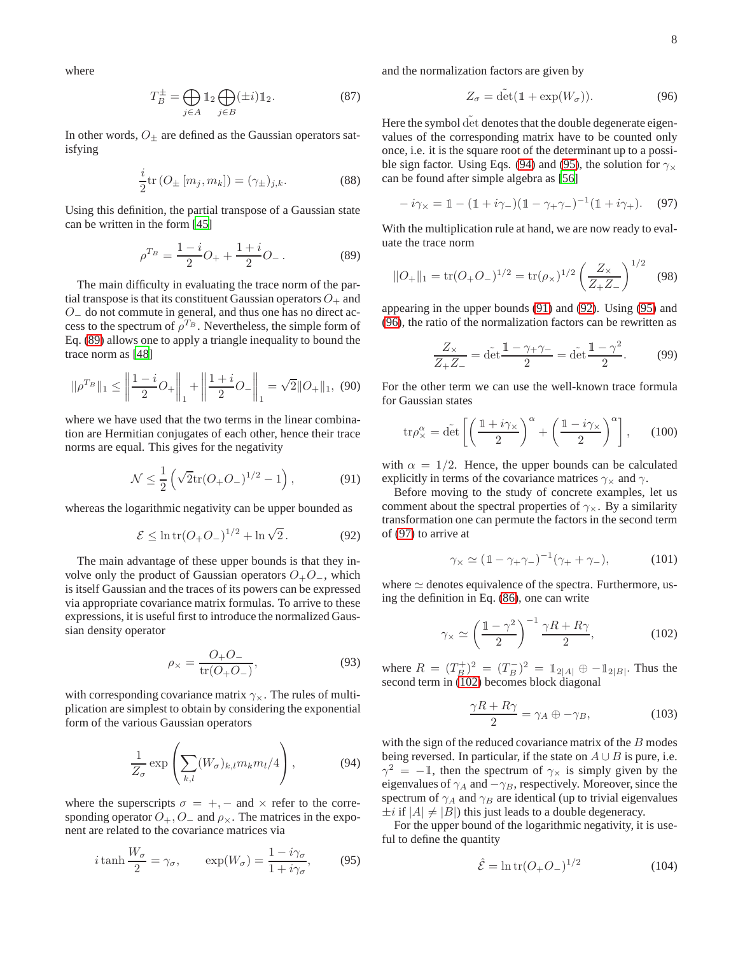where

$$
T_B^{\pm} = \bigoplus_{j \in A} \mathbb{1}_2 \bigoplus_{j \in B} (\pm i) \mathbb{1}_2. \tag{87}
$$

In other words,  $O_{\pm}$  are defined as the Gaussian operators satisfying

$$
\frac{i}{2}\text{tr}\left(O_{\pm}\left[m_j, m_k\right]\right) = (\gamma_{\pm})_{j,k}.\tag{88}
$$

Using this definition, the partial transpose of a Gaussian state can be written in the form [\[45\]](#page-12-23)

<span id="page-7-0"></span>
$$
\rho^{T_B} = \frac{1-i}{2}O_+ + \frac{1+i}{2}O_-\,. \tag{89}
$$

The main difficulty in evaluating the trace norm of the partial transpose is that its constituent Gaussian operators  $O_+$  and O<sup>−</sup> do not commute in general, and thus one has no direct access to the spectrum of  $\rho^{T_B}$ . Nevertheless, the simple form of Eq. [\(89\)](#page-7-0) allows one to apply a triangle inequality to bound the trace norm as [\[48\]](#page-12-26)

$$
\|\rho^{T_B}\|_1 \le \left\|\frac{1-i}{2}O_+\right\|_1 + \left\|\frac{1+i}{2}O_-\right\|_1 = \sqrt{2}\|O_+\|_1, \tag{90}
$$

where we have used that the two terms in the linear combination are Hermitian conjugates of each other, hence their trace norms are equal. This gives for the negativity

<span id="page-7-3"></span>
$$
\mathcal{N} \le \frac{1}{2} \left( \sqrt{2} \text{tr} (O_+ O_-)^{1/2} - 1 \right), \tag{91}
$$

whereas the logarithmic negativity can be upper bounded as

<span id="page-7-4"></span>
$$
\mathcal{E} \le \ln \text{tr}(O_+ O_-)^{1/2} + \ln \sqrt{2} \,. \tag{92}
$$

The main advantage of these upper bounds is that they involve only the product of Gaussian operators  $O_+O_-,$  which is itself Gaussian and the traces of its powers can be expressed via appropriate covariance matrix formulas. To arrive to these expressions, it is useful first to introduce the normalized Gaussian density operator

$$
\rho_{\times} = \frac{O_{+}O_{-}}{\text{tr}(O_{+}O_{-})},\tag{93}
$$

with corresponding covariance matrix  $\gamma_{\times}$ . The rules of multiplication are simplest to obtain by considering the exponential form of the various Gaussian operators

<span id="page-7-1"></span>
$$
\frac{1}{Z_{\sigma}} \exp\left(\sum_{k,l} (W_{\sigma})_{k,l} m_k m_l/4\right),\tag{94}
$$

where the superscripts  $\sigma = +$ , – and  $\times$  refer to the corresponding operator  $O_+$ ,  $O_-$  and  $\rho_{\times}$ . The matrices in the exponent are related to the covariance matrices via

<span id="page-7-2"></span>
$$
i \tanh \frac{W_{\sigma}}{2} = \gamma_{\sigma}, \qquad \exp(W_{\sigma}) = \frac{1 - i\gamma_{\sigma}}{1 + i\gamma_{\sigma}}, \qquad (95)
$$

and the normalization factors are given by

<span id="page-7-5"></span>
$$
Z_{\sigma} = \tilde{\det}(\mathbb{1} + \exp(W_{\sigma})).\tag{96}
$$

Here the symbol det denotes that the double degenerate eigenvalues of the corresponding matrix have to be counted only once, i.e. it is the square root of the determinant up to a possi-ble sign factor. Using Eqs. [\(94\)](#page-7-1) and [\(95\)](#page-7-2), the solution for  $\gamma_{\times}$ can be found after simple algebra as [\[56\]](#page-12-34)

<span id="page-7-6"></span>
$$
-i\gamma_{\times} = 1 - (1 + i\gamma_{-})(1 - \gamma_{+}\gamma_{-})^{-1}(1 + i\gamma_{+}).
$$
 (97)

With the multiplication rule at hand, we are now ready to evaluate the trace norm

<span id="page-7-8"></span>
$$
||O_{+}||_{1} = \text{tr}(O_{+}O_{-})^{1/2} = \text{tr}(\rho_{\times})^{1/2} \left(\frac{Z_{\times}}{Z_{+}Z_{-}}\right)^{1/2}
$$
 (98)

appearing in the upper bounds [\(91\)](#page-7-3) and [\(92\)](#page-7-4). Using [\(95\)](#page-7-2) and [\(96\)](#page-7-5), the ratio of the normalization factors can be rewritten as

<span id="page-7-10"></span>
$$
\frac{Z_{\times}}{Z_{+}Z_{-}} = \det \frac{1 - \gamma_{+}\gamma_{-}}{2} = \det \frac{1 - \gamma^{2}}{2}.
$$
 (99)

For the other term we can use the well-known trace formula for Gaussian states

<span id="page-7-9"></span>
$$
\text{tr}\rho_{\times}^{\alpha} = \text{d}\tilde{\text{et}}\left[\left(\frac{\mathbb{1}+i\gamma_{\times}}{2}\right)^{\alpha}+\left(\frac{\mathbb{1}-i\gamma_{\times}}{2}\right)^{\alpha}\right],\qquad(100)
$$

with  $\alpha = 1/2$ . Hence, the upper bounds can be calculated explicitly in terms of the covariance matrices  $\gamma_{\times}$  and  $\gamma$ .

Before moving to the study of concrete examples, let us comment about the spectral properties of  $\gamma_{\times}$ . By a similarity transformation one can permute the factors in the second term of [\(97\)](#page-7-6) to arrive at

$$
\gamma_{\times} \simeq (1 - \gamma_{+}\gamma_{-})^{-1}(\gamma_{+} + \gamma_{-}),
$$
\n(101)

where  $\simeq$  denotes equivalence of the spectra. Furthermore, using the definition in Eq. [\(86\)](#page-6-2), one can write

<span id="page-7-7"></span>
$$
\gamma_{\times} \simeq \left(\frac{1-\gamma^2}{2}\right)^{-1} \frac{\gamma R + R\gamma}{2},\tag{102}
$$

where  $R = (T_B^+)^2 = (T_B^-)^2 = \mathbb{1}_{2|A|} \oplus -\mathbb{1}_{2|B|}$ . Thus the second term in [\(102\)](#page-7-7) becomes block diagonal

$$
\frac{\gamma R + R\gamma}{2} = \gamma_A \oplus -\gamma_B,\tag{103}
$$

with the sign of the reduced covariance matrix of the  $B$  modes being reversed. In particular, if the state on  $A \cup B$  is pure, i.e.  $\gamma^2 = -1$ , then the spectrum of  $\gamma_{\times}$  is simply given by the eigenvalues of  $\gamma_A$  and  $-\gamma_B$ , respectively. Moreover, since the spectrum of  $\gamma_A$  and  $\gamma_B$  are identical (up to trivial eigenvalues  $\pm i$  if  $|A| \neq |B|$ ) this just leads to a double degeneracy.

For the upper bound of the logarithmic negativity, it is useful to define the quantity

$$
\hat{\mathcal{E}} = \ln \text{tr}(O_+ O_-)^{1/2} \tag{104}
$$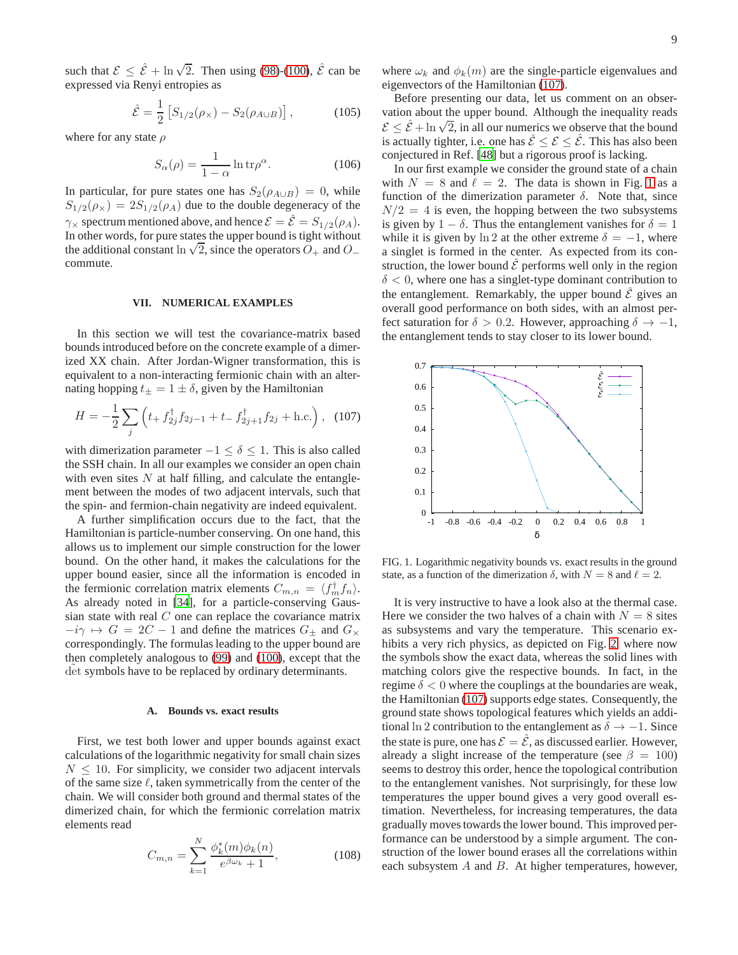such that  $\mathcal{E} \leq \hat{\mathcal{E}} + \ln \sqrt{2}$ . Then using [\(98\)](#page-7-8)-[\(100\)](#page-7-9),  $\hat{\mathcal{E}}$  can be expressed via Renyi entropies as

<span id="page-8-3"></span>
$$
\hat{\mathcal{E}} = \frac{1}{2} \left[ S_{1/2}(\rho_X) - S_2(\rho_{A \cup B}) \right],
$$
 (105)

where for any state  $\rho$ 

$$
S_{\alpha}(\rho) = \frac{1}{1 - \alpha} \ln \text{tr}\rho^{\alpha}.
$$
 (106)

In particular, for pure states one has  $S_2(\rho_{A\cup B}) = 0$ , while  $S_{1/2}(\rho_{\times}) = 2S_{1/2}(\rho_A)$  due to the double degeneracy of the  $\gamma_{\times}$  spectrum mentioned above, and hence  $\mathcal{E} = \hat{\mathcal{E}} = S_{1/2}(\rho_A)$ . In other words, for pure states the upper bound is tight without the additional constant ln  $\sqrt{2}$ , since the operators  $O_+$  and  $O_$ commute.

#### <span id="page-8-0"></span>**VII. NUMERICAL EXAMPLES**

In this section we will test the covariance-matrix based bounds introduced before on the concrete example of a dimerized XX chain. After Jordan-Wigner transformation, this is equivalent to a non-interacting fermionic chain with an alternating hopping  $t_{\pm} = 1 \pm \delta$ , given by the Hamiltonian

<span id="page-8-1"></span>
$$
H = -\frac{1}{2} \sum_{j} \left( t_{+} f_{2j}^{\dagger} f_{2j-1} + t_{-} f_{2j+1}^{\dagger} f_{2j} + \text{h.c.} \right), \quad (107)
$$

with dimerization parameter  $-1 \le \delta \le 1$ . This is also called the SSH chain. In all our examples we consider an open chain with even sites  $N$  at half filling, and calculate the entanglement between the modes of two adjacent intervals, such that the spin- and fermion-chain negativity are indeed equivalent.

A further simplification occurs due to the fact, that the Hamiltonian is particle-number conserving. On one hand, this allows us to implement our simple construction for the lower bound. On the other hand, it makes the calculations for the upper bound easier, since all the information is encoded in the fermionic correlation matrix elements  $C_{m,n} = \langle f_m^{\dagger} f_n \rangle$ . As already noted in [\[34\]](#page-12-14), for a particle-conserving Gaussian state with real  $C$  one can replace the covariance matrix  $-i\gamma \mapsto G = 2C - 1$  and define the matrices  $G_{\pm}$  and  $G_{\times}$ correspondingly. The formulas leading to the upper bound are then completely analogous to [\(99\)](#page-7-10) and [\(100\)](#page-7-9), except that the det symbols have to be replaced by ordinary determinants.

## **A. Bounds vs. exact results**

First, we test both lower and upper bounds against exact calculations of the logarithmic negativity for small chain sizes  $N \leq 10$ . For simplicity, we consider two adjacent intervals of the same size  $\ell$ , taken symmetrically from the center of the chain. We will consider both ground and thermal states of the dimerized chain, for which the fermionic correlation matrix elements read

$$
C_{m,n} = \sum_{k=1}^{N} \frac{\phi_k^*(m)\phi_k(n)}{e^{\beta \omega_k} + 1},
$$
\n(108)

where  $\omega_k$  and  $\phi_k(m)$  are the single-particle eigenvalues and eigenvectors of the Hamiltonian [\(107\)](#page-8-1).

Before presenting our data, let us comment on an observation about the upper bound. Although the inequality reads E  $\leq \hat{\varepsilon} + \ln \sqrt{2}$ , in all our numerics we observe that the bound is actually tighter, i.e. one has  $\check{\mathcal{E}} \leq \mathcal{E} \leq \hat{\mathcal{E}}$ . This has also been conjectured in Ref. [\[48\]](#page-12-26) but a rigorous proof is lacking.

In our first example we consider the ground state of a chain with  $N = 8$  and  $\ell = 2$ . The data is shown in Fig. [1](#page-8-2) as a function of the dimerization parameter  $\delta$ . Note that, since  $N/2 = 4$  is even, the hopping between the two subsystems is given by  $1 - \delta$ . Thus the entanglement vanishes for  $\delta = 1$ while it is given by ln 2 at the other extreme  $\delta = -1$ , where a singlet is formed in the center. As expected from its construction, the lower bound  $\check{\mathcal{E}}$  performs well only in the region  $\delta$  < 0, where one has a singlet-type dominant contribution to the entanglement. Remarkably, the upper bound  $\tilde{\mathcal{E}}$  gives an overall good performance on both sides, with an almost perfect saturation for  $\delta > 0.2$ . However, approaching  $\delta \rightarrow -1$ , the entanglement tends to stay closer to its lower bound.



<span id="page-8-2"></span>FIG. 1. Logarithmic negativity bounds vs. exact results in the ground state, as a function of the dimerization  $\delta$ , with  $N = 8$  and  $\ell = 2$ .

It is very instructive to have a look also at the thermal case. Here we consider the two halves of a chain with  $N = 8$  sites as subsystems and vary the temperature. This scenario exhibits a very rich physics, as depicted on Fig. [2,](#page-9-0) where now the symbols show the exact data, whereas the solid lines with matching colors give the respective bounds. In fact, in the regime  $\delta$  < 0 where the couplings at the boundaries are weak, the Hamiltonian [\(107\)](#page-8-1) supports edge states. Consequently, the ground state shows topological features which yields an additional ln 2 contribution to the entanglement as  $\delta \rightarrow -1$ . Since the state is pure, one has  $\mathcal{E} = \hat{\mathcal{E}}$ , as discussed earlier. However, already a slight increase of the temperature (see  $\beta = 100$ ) seems to destroy this order, hence the topological contribution to the entanglement vanishes. Not surprisingly, for these low temperatures the upper bound gives a very good overall estimation. Nevertheless, for increasing temperatures, the data gradually moves towards the lower bound. This improved performance can be understood by a simple argument. The construction of the lower bound erases all the correlations within each subsystem  $A$  and  $B$ . At higher temperatures, however,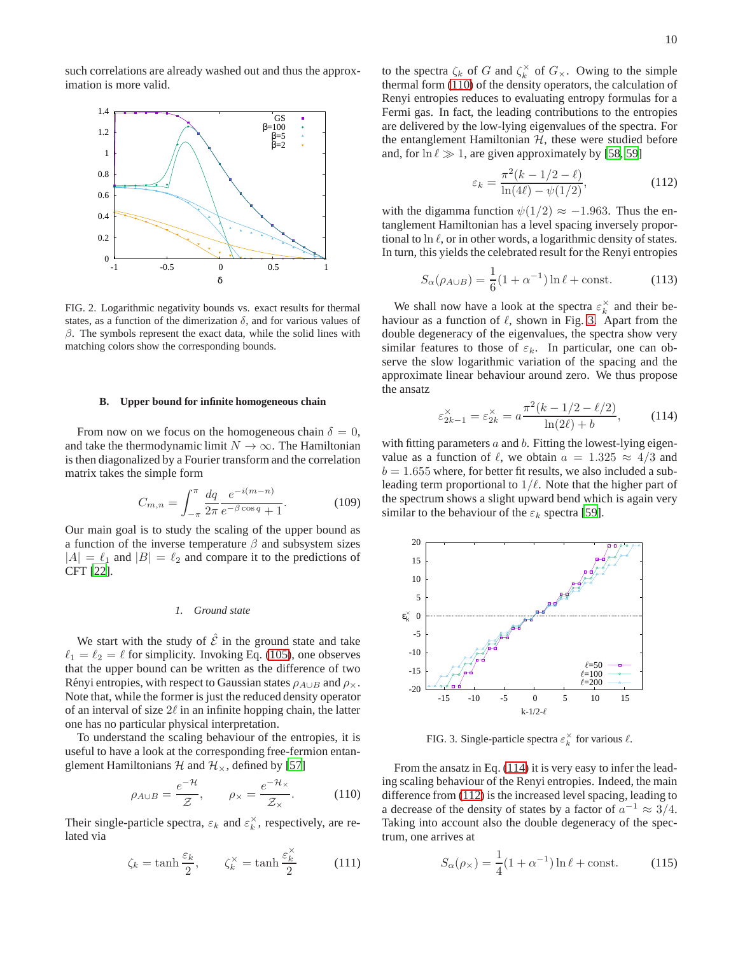such correlations are already washed out and thus the approximation is more valid.



<span id="page-9-0"></span>FIG. 2. Logarithmic negativity bounds vs. exact results for thermal states, as a function of the dimerization  $\delta$ , and for various values of  $\beta$ . The symbols represent the exact data, while the solid lines with matching colors show the corresponding bounds.

#### **B. Upper bound for infinite homogeneous chain**

From now on we focus on the homogeneous chain  $\delta = 0$ , and take the thermodynamic limit  $N \to \infty$ . The Hamiltonian is then diagonalized by a Fourier transform and the correlation matrix takes the simple form

$$
C_{m,n} = \int_{-\pi}^{\pi} \frac{dq}{2\pi} \frac{e^{-i(m-n)}}{e^{-\beta \cos q} + 1}.
$$
 (109)

Our main goal is to study the scaling of the upper bound as a function of the inverse temperature  $\beta$  and subsystem sizes  $|A| = \ell_1$  and  $|B| = \ell_2$  and compare it to the predictions of CFT [\[22](#page-12-5)].

#### *1. Ground state*

We start with the study of  $\hat{\mathcal{E}}$  in the ground state and take  $\ell_1 = \ell_2 = \ell$  for simplicity. Invoking Eq. [\(105\)](#page-8-3), one observes that the upper bound can be written as the difference of two Rényi entropies, with respect to Gaussian states  $\rho_{A\cup B}$  and  $\rho_{\times}$ . Note that, while the former is just the reduced density operator of an interval of size  $2\ell$  in an infinite hopping chain, the latter one has no particular physical interpretation.

To understand the scaling behaviour of the entropies, it is useful to have a look at the corresponding free-fermion entanglement Hamiltonians  $H$  and  $H_{\times}$ , defined by [\[57](#page-12-35)]

<span id="page-9-1"></span>
$$
\rho_{A \cup B} = \frac{e^{-\mathcal{H}}}{\mathcal{Z}}, \qquad \rho_{\times} = \frac{e^{-\mathcal{H}_{\times}}}{\mathcal{Z}_{\times}}.
$$
 (110)

Their single-particle spectra,  $\varepsilon_k$  and  $\varepsilon_k^{\times}$ , respectively, are related via

$$
\zeta_k = \tanh\frac{\varepsilon_k}{2}, \qquad \zeta_k^\times = \tanh\frac{\varepsilon_k^\times}{2} \tag{111}
$$

to the spectra  $\zeta_k$  of G and  $\zeta_k^{\times}$  of  $G_{\times}$ . Owing to the simple thermal form [\(110\)](#page-9-1) of the density operators, the calculation of Renyi entropies reduces to evaluating entropy formulas for a Fermi gas. In fact, the leading contributions to the entropies are delivered by the low-lying eigenvalues of the spectra. For the entanglement Hamiltonian  $H$ , these were studied before and, for  $\ln \ell \gg 1$ , are given approximately by [\[58,](#page-12-36) [59\]](#page-12-37)

<span id="page-9-4"></span>
$$
\varepsilon_k = \frac{\pi^2 (k - 1/2 - \ell)}{\ln(4\ell) - \psi(1/2)},
$$
\n(112)

with the digamma function  $\psi(1/2) \approx -1.963$ . Thus the entanglement Hamiltonian has a level spacing inversely proportional to  $\ln \ell$ , or in other words, a logarithmic density of states. In turn, this yields the celebrated result for the Renyi entropies

$$
S_{\alpha}(\rho_{A \cup B}) = \frac{1}{6}(1 + \alpha^{-1})\ln \ell + \text{const.}
$$
 (113)

We shall now have a look at the spectra  $\varepsilon_k^{\times}$  and their behaviour as a function of  $\ell$ , shown in Fig. [3.](#page-9-2) Apart from the double degeneracy of the eigenvalues, the spectra show very similar features to those of  $\varepsilon_k$ . In particular, one can observe the slow logarithmic variation of the spacing and the approximate linear behaviour around zero. We thus propose the ansatz

<span id="page-9-3"></span>
$$
\varepsilon_{2k-1}^{\times} = \varepsilon_{2k}^{\times} = a \frac{\pi^2 (k - 1/2 - \ell/2)}{\ln(2\ell) + b},
$$
 (114)

with fitting parameters  $a$  and  $b$ . Fitting the lowest-lying eigenvalue as a function of  $\ell$ , we obtain  $a = 1.325 \approx 4/3$  and  $b = 1.655$  where, for better fit results, we also included a subleading term proportional to  $1/\ell$ . Note that the higher part of the spectrum shows a slight upward bend which is again very similar to the behaviour of the  $\varepsilon_k$  spectra [\[59\]](#page-12-37).



<span id="page-9-2"></span>FIG. 3. Single-particle spectra  $\varepsilon_k^{\times}$  for various  $\ell$ .

From the ansatz in Eq. [\(114\)](#page-9-3) it is very easy to infer the leading scaling behaviour of the Renyi entropies. Indeed, the main difference from [\(112\)](#page-9-4) is the increased level spacing, leading to a decrease of the density of states by a factor of  $a^{-1} \approx 3/4$ . Taking into account also the double degeneracy of the spectrum, one arrives at

$$
S_{\alpha}(\rho_{\times}) = \frac{1}{4}(1 + \alpha^{-1})\ln \ell + \text{const.}
$$
 (115)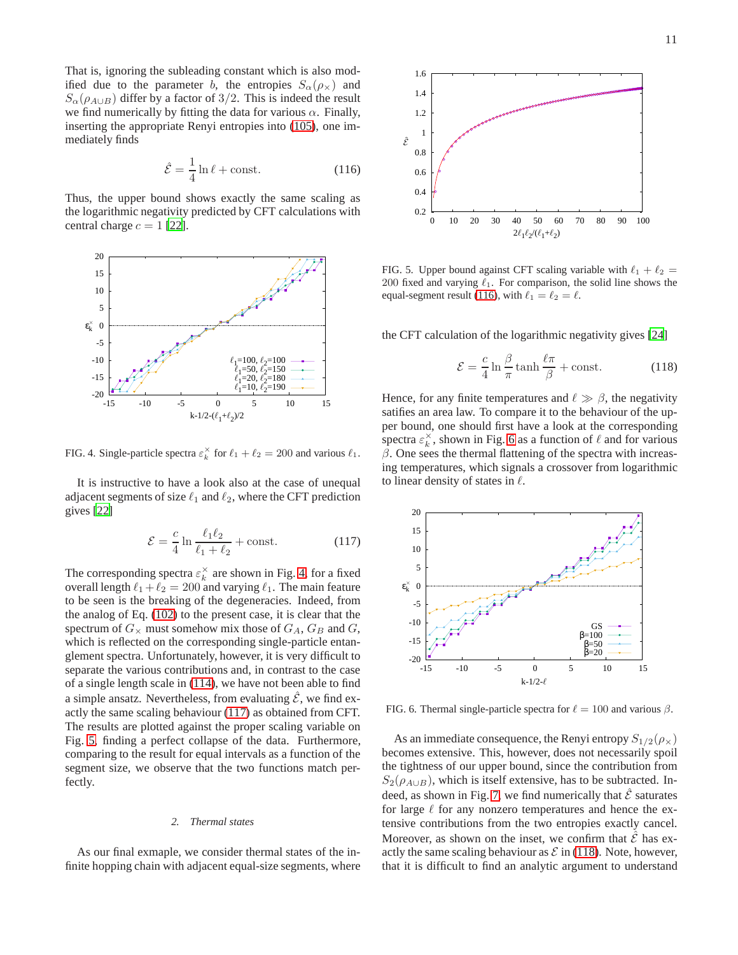That is, ignoring the subleading constant which is also modified due to the parameter b, the entropies  $S_{\alpha}(\rho_{\chi})$  and  $S_{\alpha}(\rho_{A\cup B})$  differ by a factor of 3/2. This is indeed the result we find numerically by fitting the data for various  $\alpha$ . Finally, inserting the appropriate Renyi entropies into [\(105\)](#page-8-3), one immediately finds

<span id="page-10-3"></span>
$$
\hat{\mathcal{E}} = \frac{1}{4} \ln \ell + \text{const.} \tag{116}
$$

Thus, the upper bound shows exactly the same scaling as the logarithmic negativity predicted by CFT calculations with central charge  $c = 1$  [\[22\]](#page-12-5).



<span id="page-10-0"></span>FIG. 4. Single-particle spectra  $\varepsilon_k^{\times}$  for  $\ell_1 + \ell_2 = 200$  and various  $\ell_1$ .

It is instructive to have a look also at the case of unequal adjacent segments of size  $\ell_1$  and  $\ell_2$ , where the CFT prediction gives [\[22\]](#page-12-5)

<span id="page-10-1"></span>
$$
\mathcal{E} = \frac{c}{4} \ln \frac{\ell_1 \ell_2}{\ell_1 + \ell_2} + \text{const.} \tag{117}
$$

The corresponding spectra  $\varepsilon_k^{\times}$  are shown in Fig. [4,](#page-10-0) for a fixed overall length  $\ell_1 + \ell_2 = 200$  and varying  $\ell_1$ . The main feature to be seen is the breaking of the degeneracies. Indeed, from the analog of Eq. [\(102\)](#page-7-7) to the present case, it is clear that the spectrum of  $G_{\times}$  must somehow mix those of  $G_A$ ,  $G_B$  and  $G$ , which is reflected on the corresponding single-particle entanglement spectra. Unfortunately, however, it is very difficult to separate the various contributions and, in contrast to the case of a single length scale in [\(114\)](#page-9-3), we have not been able to find a simple ansatz. Nevertheless, from evaluating  $\hat{\mathcal{E}}$ , we find exactly the same scaling behaviour [\(117\)](#page-10-1) as obtained from CFT. The results are plotted against the proper scaling variable on Fig. [5,](#page-10-2) finding a perfect collapse of the data. Furthermore, comparing to the result for equal intervals as a function of the segment size, we observe that the two functions match perfectly.

# *2. Thermal states*

As our final exmaple, we consider thermal states of the infinite hopping chain with adjacent equal-size segments, where



<span id="page-10-2"></span>FIG. 5. Upper bound against CFT scaling variable with  $\ell_1 + \ell_2 =$ 200 fixed and varying  $\ell_1$ . For comparison, the solid line shows the equal-segment result [\(116\)](#page-10-3), with  $\ell_1 = \ell_2 = \ell$ .

the CFT calculation of the logarithmic negativity gives [\[24\]](#page-12-7)

<span id="page-10-5"></span>
$$
\mathcal{E} = \frac{c}{4} \ln \frac{\beta}{\pi} \tanh \frac{\ell \pi}{\beta} + \text{const.}
$$
 (118)

Hence, for any finite temperatures and  $\ell \gg \beta$ , the negativity satifies an area law. To compare it to the behaviour of the upper bound, one should first have a look at the corresponding spectra  $\varepsilon_k^{\times}$ , shown in Fig. [6](#page-10-4) as a function of  $\ell$  and for various  $β$ . One sees the thermal flattening of the spectra with increasing temperatures, which signals a crossover from logarithmic to linear density of states in  $\ell$ .



<span id="page-10-4"></span>FIG. 6. Thermal single-particle spectra for  $\ell = 100$  and various  $\beta$ .

As an immediate consequence, the Renyi entropy  $S_{1/2}(\rho_{\times})$ becomes extensive. This, however, does not necessarily spoil the tightness of our upper bound, since the contribution from  $S_2(\rho_{A\cup B})$ , which is itself extensive, has to be subtracted. In-deed, as shown in Fig. [7,](#page-11-11) we find numerically that  $\hat{\mathcal{E}}$  saturates for large  $\ell$  for any nonzero temperatures and hence the extensive contributions from the two entropies exactly cancel. Moreover, as shown on the inset, we confirm that  $\mathcal E$  has exactly the same scaling behaviour as  $\mathcal E$  in [\(118\)](#page-10-5). Note, however, that it is difficult to find an analytic argument to understand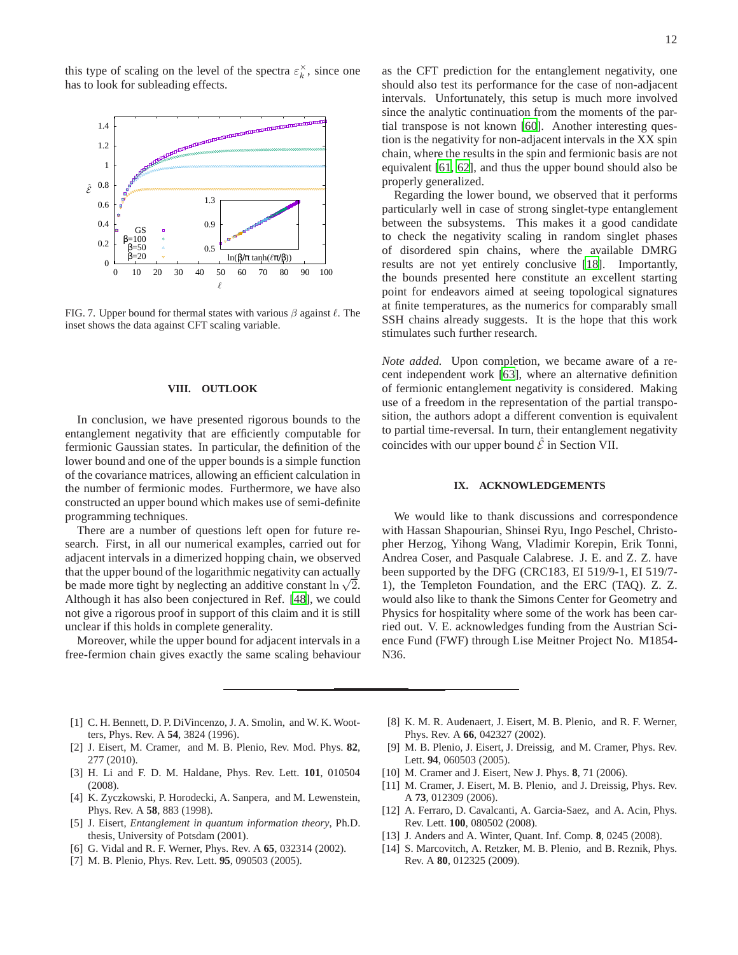this type of scaling on the level of the spectra  $\varepsilon_k^{\times}$ , since one has to look for subleading effects.



<span id="page-11-11"></span>FIG. 7. Upper bound for thermal states with various  $\beta$  against  $\ell$ . The inset shows the data against CFT scaling variable.

#### <span id="page-11-10"></span>**VIII. OUTLOOK**

In conclusion, we have presented rigorous bounds to the entanglement negativity that are efficiently computable for fermionic Gaussian states. In particular, the definition of the lower bound and one of the upper bounds is a simple function of the covariance matrices, allowing an efficient calculation in the number of fermionic modes. Furthermore, we have also constructed an upper bound which makes use of semi-definite programming techniques.

There are a number of questions left open for future research. First, in all our numerical examples, carried out for adjacent intervals in a dimerized hopping chain, we observed that the upper bound of the logarithmic negativity can actually be made more tight by neglecting an additive constant  $\ln \sqrt{2}$ . Although it has also been conjectured in Ref. [\[48\]](#page-12-26), we could not give a rigorous proof in support of this claim and it is still unclear if this holds in complete generality.

Moreover, while the upper bound for adjacent intervals in a free-fermion chain gives exactly the same scaling behaviour as the CFT prediction for the entanglement negativity, one should also test its performance for the case of non-adjacent intervals. Unfortunately, this setup is much more involved since the analytic continuation from the moments of the partial transpose is not known [\[60\]](#page-12-38). Another interesting question is the negativity for non-adjacent intervals in the XX spin chain, where the results in the spin and fermionic basis are not equivalent [\[61](#page-12-39), [62\]](#page-12-40), and thus the upper bound should also be properly generalized.

Regarding the lower bound, we observed that it performs particularly well in case of strong singlet-type entanglement between the subsystems. This makes it a good candidate to check the negativity scaling in random singlet phases of disordered spin chains, where the available DMRG results are not yet entirely conclusive [\[18\]](#page-12-1). Importantly, the bounds presented here constitute an excellent starting point for endeavors aimed at seeing topological signatures at finite temperatures, as the numerics for comparably small SSH chains already suggests. It is the hope that this work stimulates such further research.

*Note added.* Upon completion, we became aware of a recent independent work [\[63](#page-12-41)], where an alternative definition of fermionic entanglement negativity is considered. Making use of a freedom in the representation of the partial transposition, the authors adopt a different convention is equivalent to partial time-reversal. In turn, their entanglement negativity coincides with our upper bound  $\hat{\mathcal{E}}$  in Section VII.

# **IX. ACKNOWLEDGEMENTS**

We would like to thank discussions and correspondence with Hassan Shapourian, Shinsei Ryu, Ingo Peschel, Christopher Herzog, Yihong Wang, Vladimir Korepin, Erik Tonni, Andrea Coser, and Pasquale Calabrese. J. E. and Z. Z. have been supported by the DFG (CRC183, EI 519/9-1, EI 519/7- 1), the Templeton Foundation, and the ERC (TAQ). Z. Z. would also like to thank the Simons Center for Geometry and Physics for hospitality where some of the work has been carried out. V. E. acknowledges funding from the Austrian Science Fund (FWF) through Lise Meitner Project No. M1854- N36.

- <span id="page-11-0"></span>[1] C. H. Bennett, D. P. Di Vincenzo, J. A. Smolin, and W. K. Wootters, Phys. Rev. A **54**, 3824 (1996).
- <span id="page-11-2"></span>[2] J. Eisert, M. Cramer, and M. B. Plenio, Rev. Mod. Phys. **82**, 277 (2010).
- <span id="page-11-1"></span>[3] H. Li and F. D. M. Haldane, Phys. Rev. Lett. **101**, 010504 (2008).
- <span id="page-11-3"></span>[4] K. Zyczkowski, P. Horodecki, A. Sanpera, and M. Lewenstein, Phys. Rev. A **58**, 883 (1998).
- <span id="page-11-8"></span>[5] J. Eisert, *Entanglement in quantum information theory*, Ph.D. thesis, University of Potsdam (2001).
- <span id="page-11-9"></span>[6] G. Vidal and R. F. Werner, Phys. Rev. A **65**, 032314 (2002).
- <span id="page-11-4"></span>[7] M. B. Plenio, Phys. Rev. Lett. **95**, 090503 (2005).
- <span id="page-11-5"></span>[8] K. M. R. Audenaert, J. Eisert, M. B. Plenio, and R. F. Werner, Phys. Rev. A **66**, 042327 (2002).
- <span id="page-11-6"></span>[9] M. B. Plenio, J. Eisert, J. Dreissig, and M. Cramer, Phys. Rev. Lett. **94**, 060503 (2005).
- [10] M. Cramer and J. Eisert, New J. Phys. **8**, 71 (2006).
- [11] M. Cramer, J. Eisert, M. B. Plenio, and J. Dreissig, Phys. Rev. A **73**, 012309 (2006).
- [12] A. Ferraro, D. Cavalcanti, A. Garcia-Saez, and A. Acin, Phys. Rev. Lett. **100**, 080502 (2008).
- [13] J. Anders and A. Winter, Quant. Inf. Comp. **8**, 0245 (2008).
- <span id="page-11-7"></span>[14] S. Marcovitch, A. Retzker, M. B. Plenio, and B. Reznik, Phys. Rev. A **80**, 012325 (2009).